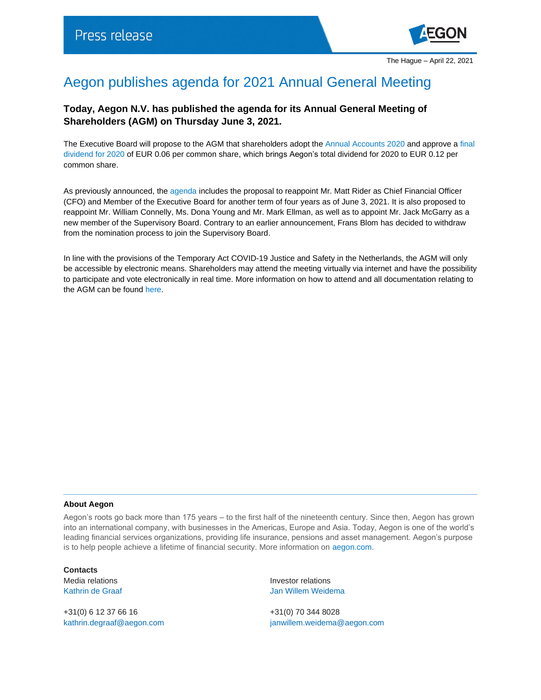

## Aegon publishes agenda for 2021 Annual General Meeting

## **Today, Aegon N.V. has published the agenda for its Annual General Meeting of Shareholders (AGM) on Thursday June 3, 2021.**

The Executive Board will propose to the AGM that shareholders adopt the [Annual Accounts 2020](https://www.aegon.com/investors/annual-reports/documents/2020/aegon-integrated-annual-report-2020/) and approve a [final](https://www.aegon.com/investors/shareholders/dividend-policy/)  [dividend for 2020](https://www.aegon.com/investors/shareholders/dividend-policy/) of EUR 0.06 per common share, which brings Aegon's total dividend for 2020 to EUR 0.12 per common share.

As previously announced, th[e agenda](https://www.aegon.com/investors/shareholders/annual-general-meeting/AGM-Archive/2021/agm-agenda/) includes the proposal to reappoint Mr. Matt Rider as Chief Financial Officer (CFO) and Member of the Executive Board for another term of four years as of June 3, 2021. It is also proposed to reappoint Mr. William Connelly, Ms. Dona Young and Mr. Mark Ellman, as well as to appoint Mr. Jack McGarry as a new member of the Supervisory Board. Contrary to an earlier announcement, Frans Blom has decided to withdraw from the nomination process to join the Supervisory Board.

In line with the provisions of the Temporary Act COVID-19 Justice and Safety in the Netherlands, the AGM will only be accessible by electronic means. Shareholders may attend the meeting virtually via internet and have the possibility to participate and vote electronically in real time. More information on how to attend and all documentation relating to the AGM can be foun[d here.](https://www.aegon.com/agm/)

## **About Aegon**

Aegon's roots go back more than 175 years – to the first half of the nineteenth century. Since then, Aegon has grown into an international company, with businesses in the Americas, Europe and Asia. Today, Aegon is one of the world's leading financial services organizations, providing life insurance, pensions and asset management. Aegon's purpose is to help people achieve a lifetime of financial security. More information on [aegon.com.](https://www.aegon.com/about/)

**Contacts**

+31(0) 6 12 37 66 16 +31(0) 70 344 8028

Media relations **Investor relations Investor relations** Kathrin de Graaf **Jan Willem Weidema** 

[kathrin.degraaf@aegon.com](mailto:kathrin.degraaf@aegon.com) [janwillem.weidema@aegon.com](mailto:janwillem.weidema@aegon.com)